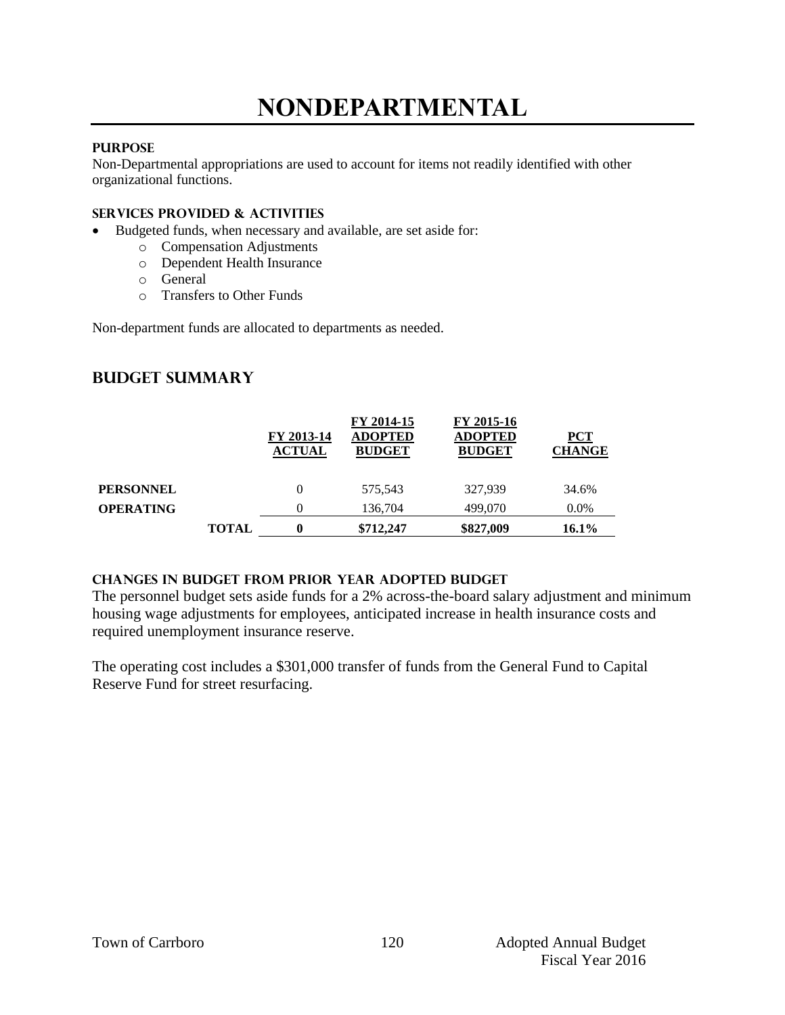## **NONDEPARTMENTAL**

### **PURPOSE**

Non-Departmental appropriations are used to account for items not readily identified with other organizational functions.

#### **Services provided & activities**

- Budgeted funds, when necessary and available, are set aside for:
	- o Compensation Adjustments
		- o Dependent Health Insurance
	- o General
	- o Transfers to Other Funds

Non-department funds are allocated to departments as needed.

## **Budget summary**

|                  |              | FY 2013-14<br><b>ACTUAL</b> | FY 2014-15<br><b>ADOPTED</b><br><b>BUDGET</b> | FY 2015-16<br><b>ADOPTED</b><br><b>BUDGET</b> | ${PCT}$<br><b>CHANGE</b> |
|------------------|--------------|-----------------------------|-----------------------------------------------|-----------------------------------------------|--------------------------|
| <b>PERSONNEL</b> |              |                             | 575,543                                       | 327.939                                       | 34.6%                    |
| <b>OPERATING</b> |              | 0                           | 136,704                                       | 499,070                                       | $0.0\%$                  |
|                  | <b>TOTAL</b> | 0                           | \$712,247                                     | \$827,009                                     | 16.1%                    |

#### **Changes in budget from prior year adopted budget**

The personnel budget sets aside funds for a 2% across-the-board salary adjustment and minimum housing wage adjustments for employees, anticipated increase in health insurance costs and required unemployment insurance reserve.

The operating cost includes a \$301,000 transfer of funds from the General Fund to Capital Reserve Fund for street resurfacing.